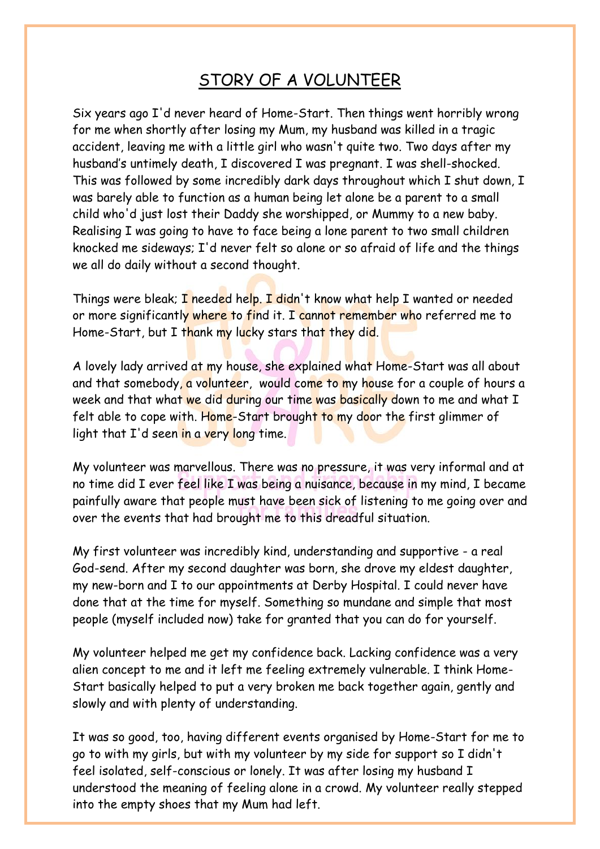## STORY OF A VOLUNTEER

Six years ago I'd never heard of Home-Start. Then things went horribly wrong for me when shortly after losing my Mum, my husband was killed in a tragic accident, leaving me with a little girl who wasn't quite two. Two days after my husband's untimely death, I discovered I was pregnant. I was shell-shocked. This was followed by some incredibly dark days throughout which I shut down, I was barely able to function as a human being let alone be a parent to a small child who'd just lost their Daddy she worshipped, or Mummy to a new baby. Realising I was going to have to face being a lone parent to two small children knocked me sideways; I'd never felt so alone or so afraid of life and the things we all do daily without a second thought.

Things were bleak; I needed help. I didn't know what help I wanted or needed or more significantly where to find it. I cannot remember who referred me to Home-Start, but I thank my lucky stars that they did.

A lovely lady arrived at my house, she explained what Home-Start was all about and that somebody, a volunteer, would come to my house for a couple of hours a week and that what we did during our time was basically down to me and what I felt able to cope with. Home-Start brought to my door the first glimmer of light that I'd seen in a very long time.

My volunteer was marvellous. There was no pressure, it was very informal and at no time did I ever feel like I was being a nuisance, because in my mind, I became painfully aware that people must have been sick of listening to me going over and over the events that had brought me to this dreadful situation.

My first volunteer was incredibly kind, understanding and supportive - a real God-send. After my second daughter was born, she drove my eldest daughter, my new-born and I to our appointments at Derby Hospital. I could never have done that at the time for myself. Something so mundane and simple that most people (myself included now) take for granted that you can do for yourself.

My volunteer helped me get my confidence back. Lacking confidence was a very alien concept to me and it left me feeling extremely vulnerable. I think Home-Start basically helped to put a very broken me back together again, gently and slowly and with plenty of understanding.

It was so good, too, having different events organised by Home-Start for me to go to with my girls, but with my volunteer by my side for support so I didn't feel isolated, self-conscious or lonely. It was after losing my husband I understood the meaning of feeling alone in a crowd. My volunteer really stepped into the empty shoes that my Mum had left.